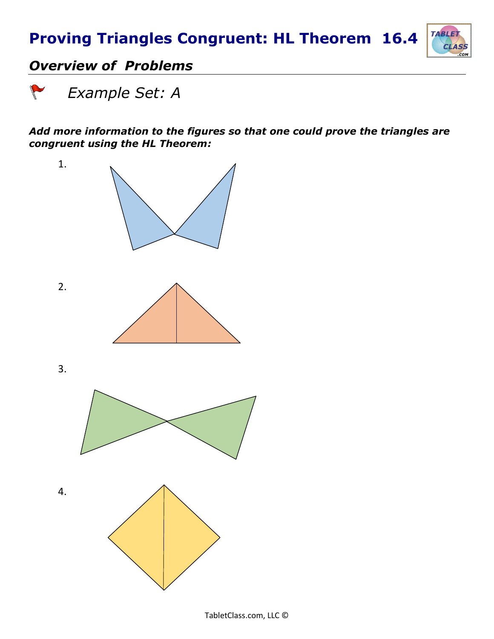# **Proving Triangles Congruent: HL Theorem 16.4**



### *Overview of Problems*

 *Example Set: A*

#### *Add more information to the figures so that one could prove the triangles are congruent using the HL Theorem:*

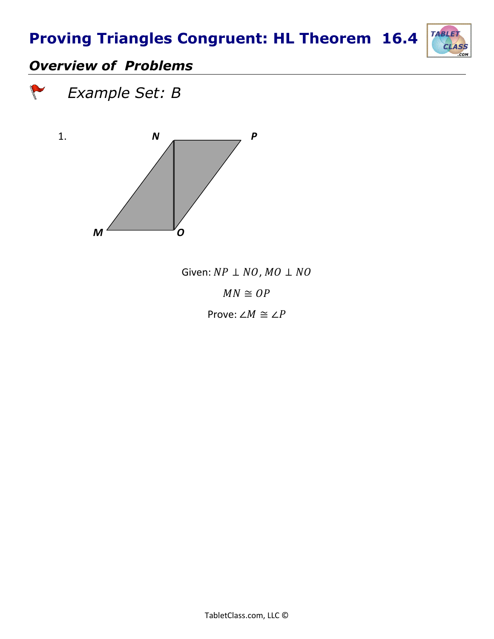# **Proving Triangles Congruent: HL Theorem 16.4**



### *Overview of Problems*





Given:  $NP \perp NO$ ,  $MO \perp NO$  $MN \cong OP$ 

Prove:  $∠M \cong ∠P$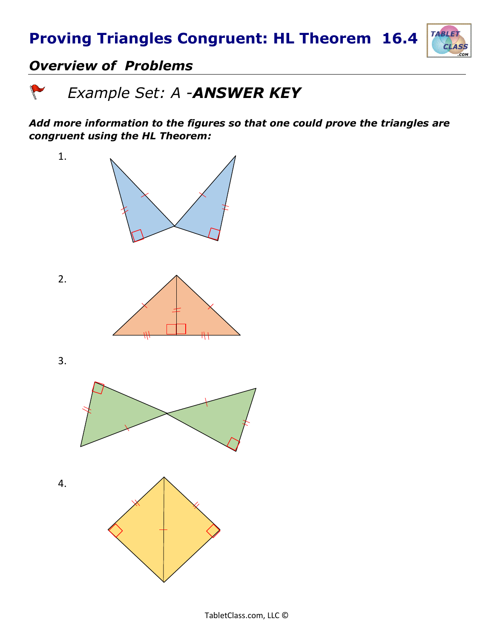

#### *Overview of Problems*

 *Example Set: A -ANSWER KEY*

*Add more information to the figures so that one could prove the triangles are congruent using the HL Theorem:*

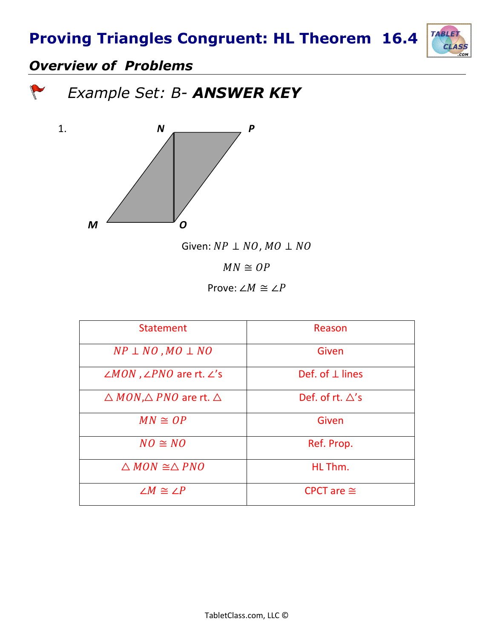### **Proving Triangles Congruent: HL Theorem 16.4**



### *Overview of Problems*

 *Example Set: B- ANSWER KEY*



Given:  $NP \perp NO$ ,  $MO \perp NO$ 

 $MN \cong OP$ 

Prove:  $\angle M \cong \angle P$ 

| <b>Statement</b>                                     | Reason                     |
|------------------------------------------------------|----------------------------|
| $NP \perp NO$ , $MO \perp NO$                        | Given                      |
| $\angle MON$ , $\angle PNO$ are rt. $\angle$ 's      | Def. of $\perp$ lines      |
| $\triangle$ MON, $\triangle$ PNO are rt. $\triangle$ | Def. of rt. $\triangle$ 's |
| $MN \cong OP$                                        | Given                      |
| $NO \cong NO$                                        | Ref. Prop.                 |
| $\triangle MON \cong \triangle PNO$                  | HL Thm.                    |
| $\angle M \cong \angle P$                            | CPCT are $\cong$           |